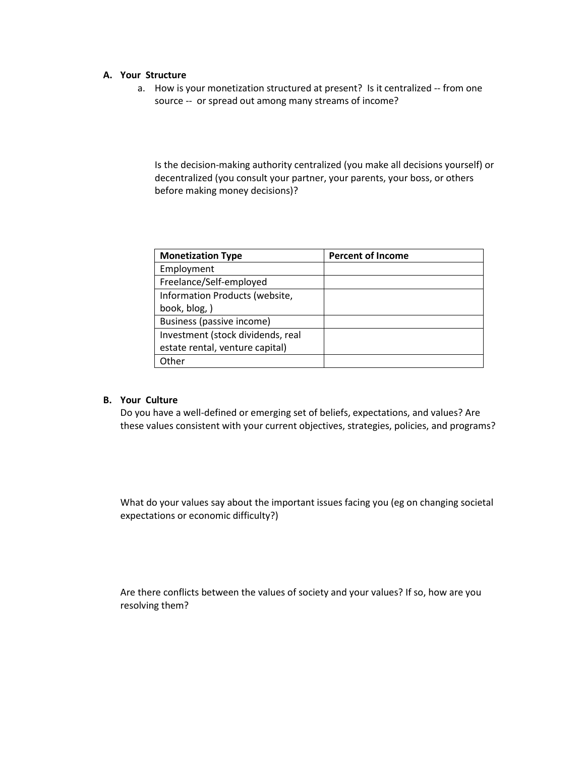#### **A. Your Structure**

a. How is your monetization structured at present? Is it centralized -- from one source -- or spread out among many streams of income?

Is the decision-making authority centralized (you make all decisions yourself) or decentralized (you consult your partner, your parents, your boss, or others before making money decisions)?

| <b>Monetization Type</b>          | <b>Percent of Income</b> |
|-----------------------------------|--------------------------|
| Employment                        |                          |
| Freelance/Self-employed           |                          |
| Information Products (website,    |                          |
| book, blog, )                     |                          |
| Business (passive income)         |                          |
| Investment (stock dividends, real |                          |
| estate rental, venture capital)   |                          |
| Other                             |                          |

### **B. Your Culture**

Do you have a well-defined or emerging set of beliefs, expectations, and values? Are these values consistent with your current objectives, strategies, policies, and programs?

What do your values say about the important issues facing you (eg on changing societal expectations or economic difficulty?)

Are there conflicts between the values of society and your values? If so, how are you resolving them?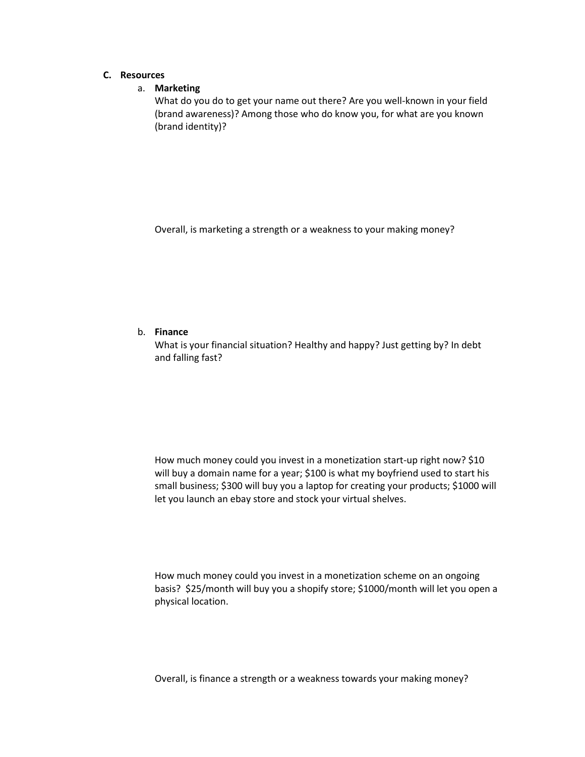# **C. Resources**

## a. **Marketing**

What do you do to get your name out there? Are you well-known in your field (brand awareness)? Among those who do know you, for what are you known (brand identity)?

Overall, is marketing a strength or a weakness to your making money?

### b. **Finance**

What is your financial situation? Healthy and happy? Just getting by? In debt and falling fast?

How much money could you invest in a monetization start-up right now? \$10 will buy a domain name for a year; \$100 is what my boyfriend used to start his small business; \$300 will buy you a laptop for creating your products; \$1000 will let you launch an ebay store and stock your virtual shelves.

How much money could you invest in a monetization scheme on an ongoing basis? \$25/month will buy you a shopify store; \$1000/month will let you open a physical location.

Overall, is finance a strength or a weakness towards your making money?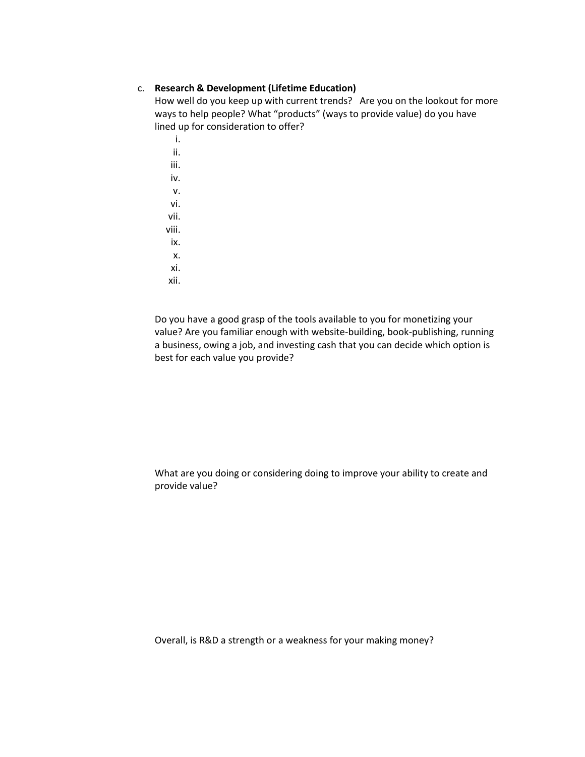#### c. **Research & Development (Lifetime Education)**

How well do you keep up with current trends? Are you on the lookout for more ways to help people? What "products" (ways to provide value) do you have lined up for consideration to offer?

i. ii. iii. iv. v. vi. vii. viii. ix. x.

- xi.
- xii.

Do you have a good grasp of the tools available to you for monetizing your value? Are you familiar enough with website-building, book-publishing, running a business, owing a job, and investing cash that you can decide which option is best for each value you provide?

What are you doing or considering doing to improve your ability to create and provide value?

Overall, is R&D a strength or a weakness for your making money?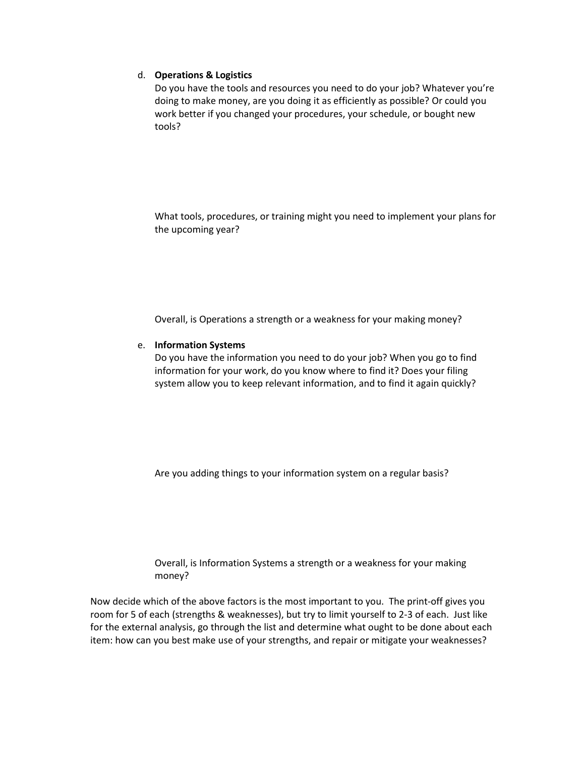## d. **Operations & Logistics**

Do you have the tools and resources you need to do your job? Whatever you're doing to make money, are you doing it as efficiently as possible? Or could you work better if you changed your procedures, your schedule, or bought new tools?

What tools, procedures, or training might you need to implement your plans for the upcoming year?

Overall, is Operations a strength or a weakness for your making money?

### e. **Information Systems**

Do you have the information you need to do your job? When you go to find information for your work, do you know where to find it? Does your filing system allow you to keep relevant information, and to find it again quickly?

Are you adding things to your information system on a regular basis?

Overall, is Information Systems a strength or a weakness for your making money?

Now decide which of the above factors is the most important to you. The print-off gives you room for 5 of each (strengths & weaknesses), but try to limit yourself to 2-3 of each. Just like for the external analysis, go through the list and determine what ought to be done about each item: how can you best make use of your strengths, and repair or mitigate your weaknesses?